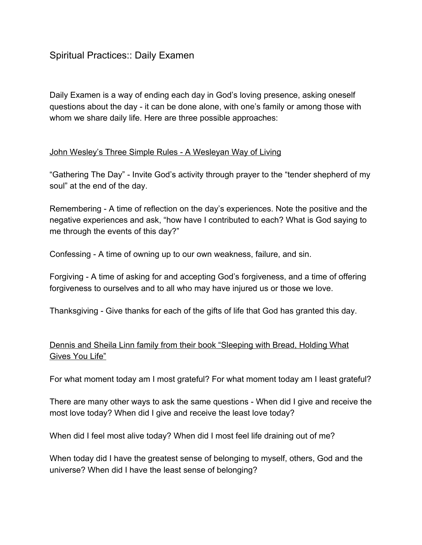## Spiritual Practices:: Daily Examen

Daily Examen is a way of ending each day in God's loving presence, asking oneself questions about the day it can be done alone, with one's family or among those with whom we share daily life. Here are three possible approaches:

## John Wesley's Three Simple Rules - A Wesleyan Way of Living

"Gathering The Day" Invite God's activity through prayer to the "tender shepherd of my soul" at the end of the day.

Remembering - A time of reflection on the day's experiences. Note the positive and the negative experiences and ask, "how have I contributed to each? What is God saying to me through the events of this day?"

Confessing A time of owning up to our own weakness, failure, and sin.

Forgiving - A time of asking for and accepting God's forgiveness, and a time of offering forgiveness to ourselves and to all who may have injured us or those we love.

Thanksgiving - Give thanks for each of the gifts of life that God has granted this day.

## Dennis and Sheila Linn family from their book "Sleeping with Bread, Holding What Gives You Life"

For what moment today am I most grateful? For what moment today am I least grateful?

There are many other ways to ask the same questions - When did I give and receive the most love today? When did I give and receive the least love today?

When did I feel most alive today? When did I most feel life draining out of me?

When today did I have the greatest sense of belonging to myself, others, God and the universe? When did I have the least sense of belonging?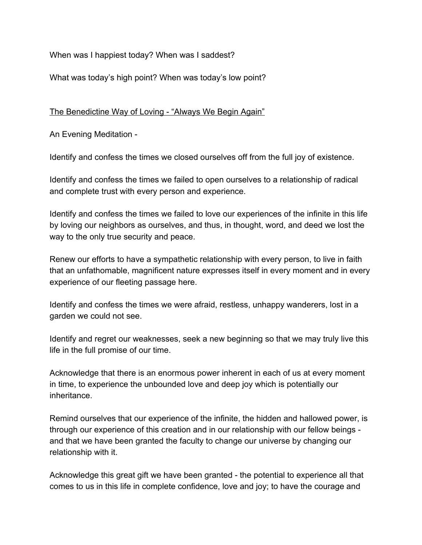When was I happiest today? When was I saddest?

What was today's high point? When was today's low point?

The Benedictine Way of Loving - "Always We Begin Again"

An Evening Meditation

Identify and confess the times we closed ourselves off from the full joy of existence.

Identify and confess the times we failed to open ourselves to a relationship of radical and complete trust with every person and experience.

Identify and confess the times we failed to love our experiences of the infinite in this life by loving our neighbors as ourselves, and thus, in thought, word, and deed we lost the way to the only true security and peace.

Renew our efforts to have a sympathetic relationship with every person, to live in faith that an unfathomable, magnificent nature expresses itself in every moment and in every experience of our fleeting passage here.

Identify and confess the times we were afraid, restless, unhappy wanderers, lost in a garden we could not see.

Identify and regret our weaknesses, seek a new beginning so that we may truly live this life in the full promise of our time.

Acknowledge that there is an enormous power inherent in each of us at every moment in time, to experience the unbounded love and deep joy which is potentially our inheritance.

Remind ourselves that our experience of the infinite, the hidden and hallowed power, is through our experience of this creation and in our relationship with our fellow beings and that we have been granted the faculty to change our universe by changing our relationship with it.

Acknowledge this great gift we have been granted - the potential to experience all that comes to us in this life in complete confidence, love and joy; to have the courage and